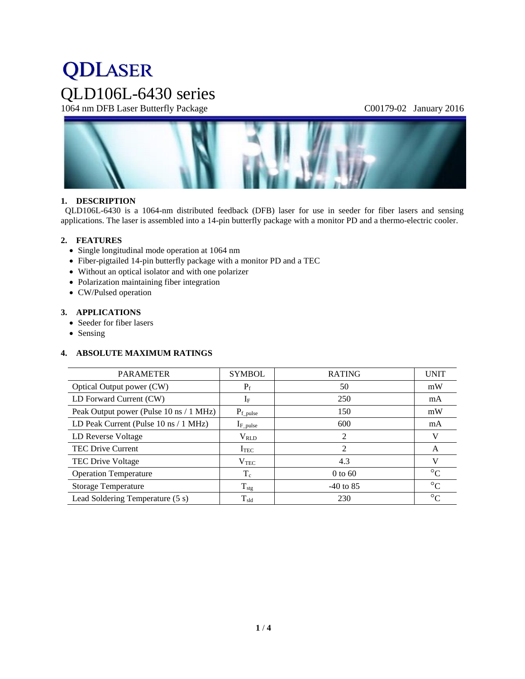# **QDLASER** QLD106L-6430 series

1064 nm DFB Laser Butterfly Package C00179-02 January 2016



# **1. DESCRIPTION**

QLD106L-6430 is a 1064-nm distributed feedback (DFB) laser for use in seeder for fiber lasers and sensing applications. The laser is assembled into a 14-pin butterfly package with a monitor PD and a thermo-electric cooler.

## **2. FEATURES**

- Single longitudinal mode operation at 1064 nm
- Fiber-pigtailed 14-pin butterfly package with a monitor PD and a TEC
- Without an optical isolator and with one polarizer
- Polarization maintaining fiber integration
- CW/Pulsed operation

# **3. APPLICATIONS**

- Seeder for fiber lasers
- Sensing

# **4. ABSOLUTE MAXIMUM RATINGS**

| <b>PARAMETER</b>                        | <b>SYMBOL</b>    | <b>RATING</b> | <b>UNIT</b>     |
|-----------------------------------------|------------------|---------------|-----------------|
| Optical Output power (CW)               | $P_f$            | 50            | mW              |
| LD Forward Current (CW)                 | $I_F$            | 250           | mA              |
| Peak Output power (Pulse 10 ns / 1 MHz) | $P_{f\_pulse}$   | 150           | mW              |
| LD Peak Current (Pulse 10 ns / 1 MHz)   | $I_{F\_pulse}$   | 600           | mA              |
| LD Reverse Voltage                      | $V_{RLD}$        | 2             | V               |
| <b>TEC Drive Current</b>                | I <sub>TEC</sub> | 2             | A               |
| <b>TEC Drive Voltage</b>                | $\rm V_{TEC}$    | 4.3           | V               |
| <b>Operation Temperature</b>            | $T_c$            | $0$ to 60     | $\rm ^{\circ}C$ |
| <b>Storage Temperature</b>              | $T_{\text{stg}}$ | $-40$ to 85   | $\rm ^{\circ}C$ |
| Lead Soldering Temperature (5 s)        | $T_{\rm sld}$    | 230           | $\rm ^{\circ}C$ |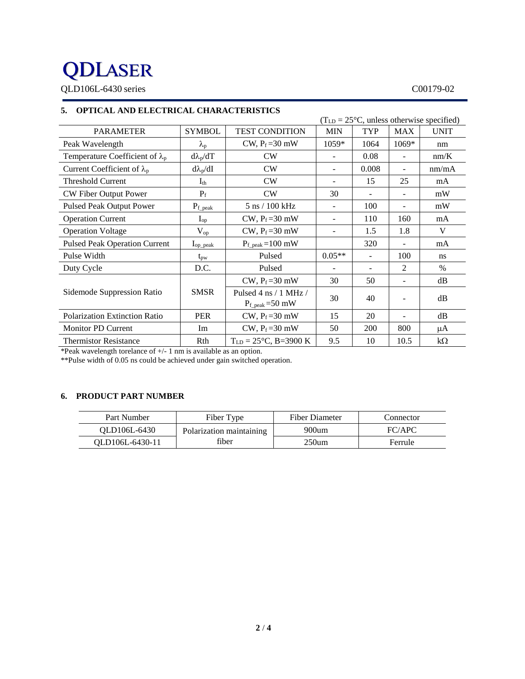# **QDLASER**

QLD106L-6430 series C00179-02

# **5. OPTICAL AND ELECTRICAL CHARACTERISTICS**

| $(TLD = 25oC, unless otherwise specified)$ |                   |                                                                  |                          |                          |                          |             |
|--------------------------------------------|-------------------|------------------------------------------------------------------|--------------------------|--------------------------|--------------------------|-------------|
| <b>PARAMETER</b>                           | <b>SYMBOL</b>     | <b>TEST CONDITION</b>                                            | <b>MIN</b>               | <b>TYP</b>               | <b>MAX</b>               | <b>UNIT</b> |
| Peak Wavelength                            | $\lambda_{\rm p}$ | CW, $P_f = 30$ mW                                                | 1059*                    | 1064                     | 1069*                    | nm          |
| Temperature Coefficient of $\lambda_p$     | $d\lambda_p/dT$   | CW                                                               | $\overline{\phantom{a}}$ | 0.08                     |                          | nm/K        |
| Current Coefficient of $\lambda_p$         | $d\lambda_p/dI$   | CW                                                               | $\overline{\phantom{a}}$ | 0.008                    | $\overline{\phantom{a}}$ | nm/mA       |
| <b>Threshold Current</b>                   | $I_{th}$          | CW                                                               | $\overline{\phantom{a}}$ | 15                       | 25                       | mA          |
| CW Fiber Output Power                      | $P_f$             | CW                                                               | 30                       | ÷.                       | ÷.                       | mW          |
| <b>Pulsed Peak Output Power</b>            | $P_{f\_peak}$     | 5 ns / 100 kHz                                                   | $\overline{\phantom{a}}$ | 100                      |                          | mW          |
| <b>Operation Current</b>                   | $I_{op}$          | $CW, P_f = 30$ mW                                                | $\overline{\phantom{a}}$ | 110                      | 160                      | mA          |
| <b>Operation Voltage</b>                   | $V_{op}$          | CW, $P_f = 30$ mW                                                | $\overline{\phantom{a}}$ | 1.5                      | 1.8                      | V           |
| <b>Pulsed Peak Operation Current</b>       | $I_{op\_peak}$    | $P_{f_{\text{.peak}}}=100 \text{ mW}$                            |                          | 320                      |                          | mA          |
| Pulse Width                                | $t_{\rm pw}$      | Pulsed                                                           | $0.05**$                 | $\overline{\phantom{0}}$ | 100                      | ns          |
| Duty Cycle                                 | D.C.              | Pulsed                                                           |                          |                          | 2                        | $\%$        |
|                                            |                   | CW, $P_f = 30$ mW                                                | 30                       | 50                       |                          | dB          |
| Sidemode Suppression Ratio                 | <b>SMSR</b>       | Pulsed 4 ns $/1$ MHz $/$<br>$P_{f_{\text{.peak}}}=50 \text{ mW}$ | 30                       | 40                       |                          | dB          |
| <b>Polarization Extinction Ratio</b>       | <b>PER</b>        | $CW$ , $P_f = 30$ mW                                             | 15                       | 20                       |                          | dB          |
| <b>Monitor PD Current</b>                  | Im                | CW, $P_f = 30$ mW                                                | 50                       | 200                      | 800                      | μA          |
| <b>Thermistor Resistance</b>               | Rth               | $T_{LD} = 25^{\circ}C$ , B=3900 K                                | 9.5                      | 10                       | 10.5                     | $k\Omega$   |

\*Peak wavelength torelance of +/- 1 nm is available as an option.

\*\*Pulse width of 0.05 ns could be achieved under gain switched operation.

# **6. PRODUCT PART NUMBER**

| Part Number     | Fiber Type               | Fiber Diameter | Connector |
|-----------------|--------------------------|----------------|-----------|
| OLD106L-6430    | Polarization maintaining | $900$ um       | FC/APC    |
| OLD106L-6430-11 | fiber                    | 250um          | Ferrule   |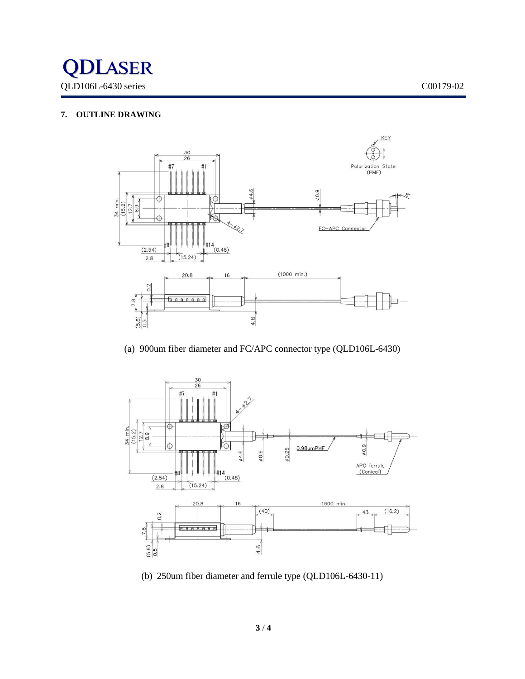

# **7. OUTLINE DRAWING**



(a) 900um fiber diameter and FC/APC connector type (QLD106L-6430)



(b) 250um fiber diameter and ferrule type (QLD106L-6430-11)